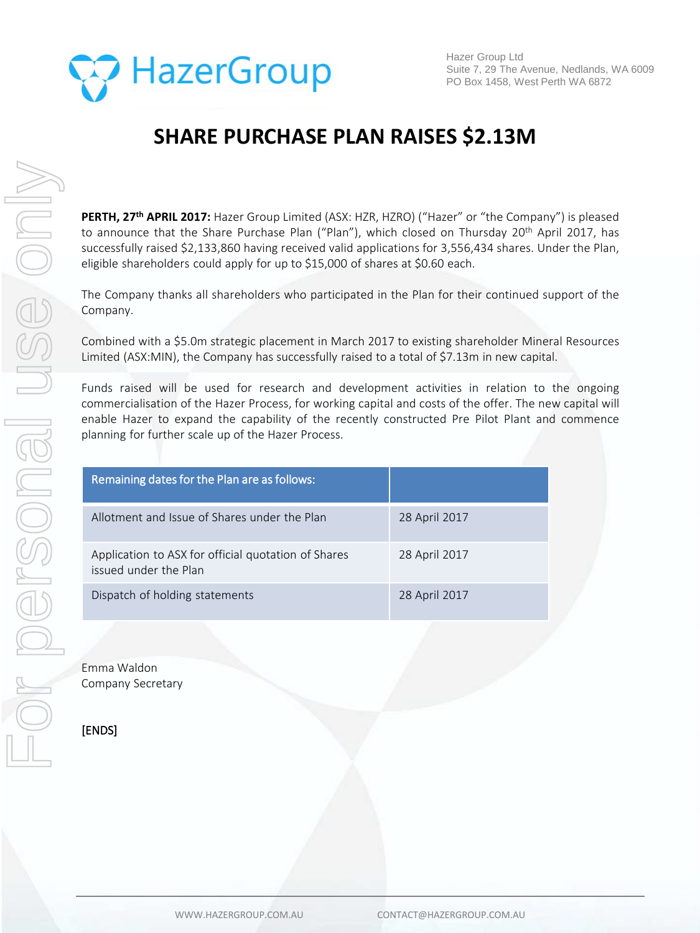

# **SHARE PURCHASE PLAN RAISES \$2.13M**

**PERTH, 27th APRIL 2017:** Hazer Group Limited (ASX: HZR, HZRO) ("Hazer" or "the Company") is pleased to announce that the Share Purchase Plan ("Plan"), which closed on Thursday 20<sup>th</sup> April 2017, has successfully raised \$2,133,860 having received valid applications for 3,556,434 shares. Under the Plan, eligible shareholders could apply for up to \$15,000 of shares at \$0.60 each.

The Company thanks all shareholders who participated in the Plan for their continued support of the Company.

Combined with a \$5.0m strategic placement in March 2017 to existing shareholder Mineral Resources Limited (ASX:MIN), the Company has successfully raised to a total of \$7.13m in new capital.

Funds raised will be used for research and development activities in relation to the ongoing commercialisation of the Hazer Process, for working capital and costs of the offer. The new capital will enable Hazer to expand the capability of the recently constructed Pre Pilot Plant and commence planning for further scale up of the Hazer Process.

| Remaining dates for the Plan are as follows:                                 |               |
|------------------------------------------------------------------------------|---------------|
| Allotment and Issue of Shares under the Plan                                 | 28 April 2017 |
| Application to ASX for official quotation of Shares<br>issued under the Plan | 28 April 2017 |
| Dispatch of holding statements                                               | 28 April 2017 |

Emma Waldon Company Secretary

## [ENDS]